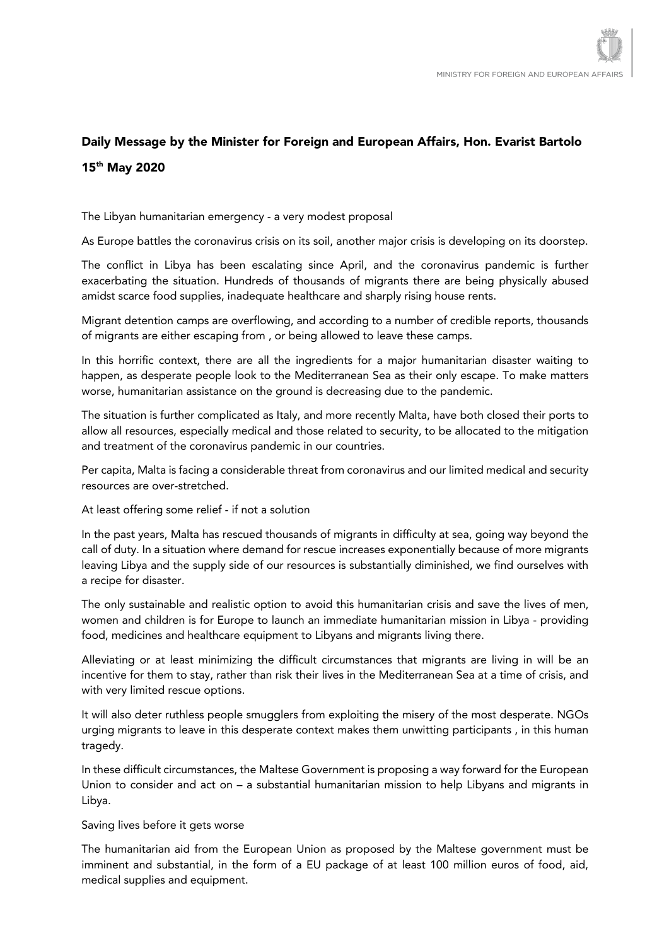## Daily Message by the Minister for Foreign and European Affairs, Hon. Evarist Bartolo 15th May 2020

The Libyan humanitarian emergency - a very modest proposal

As Europe battles the coronavirus crisis on its soil, another major crisis is developing on its doorstep.

The conflict in Libya has been escalating since April, and the coronavirus pandemic is further exacerbating the situation. Hundreds of thousands of migrants there are being physically abused amidst scarce food supplies, inadequate healthcare and sharply rising house rents.

Migrant detention camps are overflowing, and according to a number of credible reports, thousands of migrants are either escaping from , or being allowed to leave these camps.

In this horrific context, there are all the ingredients for a major humanitarian disaster waiting to happen, as desperate people look to the Mediterranean Sea as their only escape. To make matters worse, humanitarian assistance on the ground is decreasing due to the pandemic.

The situation is further complicated as Italy, and more recently Malta, have both closed their ports to allow all resources, especially medical and those related to security, to be allocated to the mitigation and treatment of the coronavirus pandemic in our countries.

Per capita, Malta is facing a considerable threat from coronavirus and our limited medical and security resources are over-stretched.

At least offering some relief - if not a solution

In the past years, Malta has rescued thousands of migrants in difficulty at sea, going way beyond the call of duty. In a situation where demand for rescue increases exponentially because of more migrants leaving Libya and the supply side of our resources is substantially diminished, we find ourselves with a recipe for disaster.

The only sustainable and realistic option to avoid this humanitarian crisis and save the lives of men, women and children is for Europe to launch an immediate humanitarian mission in Libya - providing food, medicines and healthcare equipment to Libyans and migrants living there.

Alleviating or at least minimizing the difficult circumstances that migrants are living in will be an incentive for them to stay, rather than risk their lives in the Mediterranean Sea at a time of crisis, and with very limited rescue options.

It will also deter ruthless people smugglers from exploiting the misery of the most desperate. NGOs urging migrants to leave in this desperate context makes them unwitting participants , in this human tragedy.

In these difficult circumstances, the Maltese Government is proposing a way forward for the European Union to consider and act on – a substantial humanitarian mission to help Libyans and migrants in Libya.

## Saving lives before it gets worse

The humanitarian aid from the European Union as proposed by the Maltese government must be imminent and substantial, in the form of a EU package of at least 100 million euros of food, aid, medical supplies and equipment.